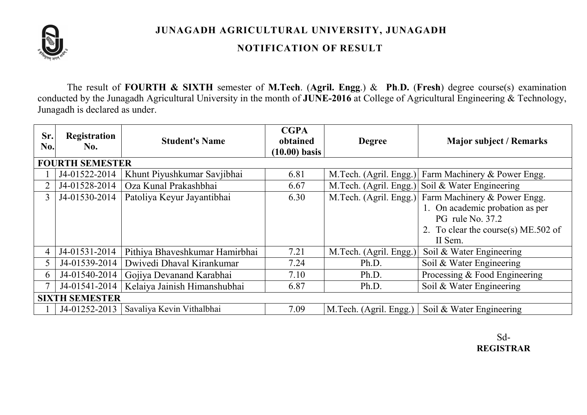

JUNAGADH AGRICULTURAL UNIVERSITY, JUNAGADH

## NOTIFICATION OF RESULT

The result of FOURTH & SIXTH semester of M.Tech. (Agril. Engg.) & Ph.D. (Fresh) degree course(s) examination conducted by the Junagadh Agricultural University in the month of JUNE-2016 at College of Agricultural Engineering & Technology, Junagadh is declared as under.

| Sr.<br>No.             | <b>Registration</b><br>No. | <b>Student's Name</b>          | <b>CGPA</b><br>obtained<br>$(10.00)$ basis | <b>Degree</b>          | <b>Major subject / Remarks</b>                      |  |  |  |  |
|------------------------|----------------------------|--------------------------------|--------------------------------------------|------------------------|-----------------------------------------------------|--|--|--|--|
| <b>FOURTH SEMESTER</b> |                            |                                |                                            |                        |                                                     |  |  |  |  |
|                        | J4-01522-2014              | Khunt Piyushkumar Savjibhai    | 6.81                                       | M.Tech. (Agril. Engg.) | Farm Machinery & Power Engg.                        |  |  |  |  |
|                        | J4-01528-2014              | Oza Kunal Prakashbhai          | 6.67                                       |                        | M.Tech. (Agril. Engg.) Soil & Water Engineering     |  |  |  |  |
| 3                      | J4-01530-2014              | Patoliya Keyur Jayantibhai     | 6.30                                       |                        | M.Tech. (Agril. Engg.) Farm Machinery & Power Engg. |  |  |  |  |
|                        |                            |                                |                                            |                        | 1. On academic probation as per                     |  |  |  |  |
|                        |                            |                                |                                            |                        | PG rule No. 37.2                                    |  |  |  |  |
|                        |                            |                                |                                            |                        | 2. To clear the course(s) ME.502 of                 |  |  |  |  |
|                        |                            |                                |                                            |                        | II Sem.                                             |  |  |  |  |
| $\overline{4}$         | J4-01531-2014              | Pithiya Bhaveshkumar Hamirbhai | 7.21                                       | M.Tech. (Agril. Engg.) | Soil & Water Engineering                            |  |  |  |  |
| 5                      | J4-01539-2014              | Dwivedi Dhaval Kirankumar      | 7.24                                       | Ph.D.                  | Soil & Water Engineering                            |  |  |  |  |
| 6.                     | J4-01540-2014              | Gojiya Devanand Karabhai       | 7.10                                       | Ph.D.                  | Processing & Food Engineering                       |  |  |  |  |
|                        | J4-01541-2014              | Kelaiya Jainish Himanshubhai   | 6.87                                       | Ph.D.                  | Soil & Water Engineering                            |  |  |  |  |
| <b>SIXTH SEMESTER</b>  |                            |                                |                                            |                        |                                                     |  |  |  |  |
|                        | J4-01252-2013              | Savaliya Kevin Vithalbhai      | 7.09                                       | M.Tech. (Agril. Engg.) | Soil & Water Engineering                            |  |  |  |  |